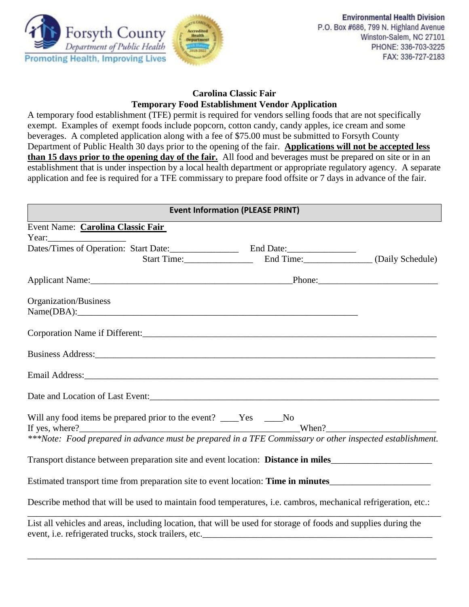

# **Carolina Classic Fair Temporary Food Establishment Vendor Application**

A temporary food establishment (TFE) permit is required for vendors selling foods that are not specifically exempt. Examples of exempt foods include popcorn, cotton candy, candy apples, ice cream and some beverages. A completed application along with a fee of \$75.00 must be submitted to Forsyth County Department of Public Health 30 days prior to the opening of the fair. **Applications will not be accepted less than 15 days prior to the opening day of the fair.** All food and beverages must be prepared on site or in an establishment that is under inspection by a local health department or appropriate regulatory agency. A separate application and fee is required for a TFE commissary to prepare food offsite or 7 days in advance of the fair.

| <b>Event Information (PLEASE PRINT)</b>                                                                                    |  |                                                  |  |  |  |
|----------------------------------------------------------------------------------------------------------------------------|--|--------------------------------------------------|--|--|--|
| Event Name: Carolina Classic Fair                                                                                          |  |                                                  |  |  |  |
|                                                                                                                            |  |                                                  |  |  |  |
|                                                                                                                            |  |                                                  |  |  |  |
|                                                                                                                            |  | Start Time: End Time: End Time: (Daily Schedule) |  |  |  |
|                                                                                                                            |  |                                                  |  |  |  |
| Organization/Business                                                                                                      |  |                                                  |  |  |  |
| Name(DBA):                                                                                                                 |  |                                                  |  |  |  |
|                                                                                                                            |  |                                                  |  |  |  |
|                                                                                                                            |  |                                                  |  |  |  |
|                                                                                                                            |  |                                                  |  |  |  |
| Date and Location of Last Event:<br><u>Letter and</u> Location of Last Event:                                              |  |                                                  |  |  |  |
| Will any food items be prepared prior to the event? ____Yes ____No                                                         |  |                                                  |  |  |  |
| If yes, where?<br>***Note: Food prepared in advance must be prepared in a TFE Commissary or other inspected establishment. |  |                                                  |  |  |  |
| Transport distance between preparation site and event location: Distance in miles___________________                       |  |                                                  |  |  |  |
| Estimated transport time from preparation site to event location: <b>Time in minutes__________________</b>                 |  |                                                  |  |  |  |
| Describe method that will be used to maintain food temperatures, i.e. cambros, mechanical refrigeration, etc.:             |  |                                                  |  |  |  |
| List all vehicles and areas, including location, that will be used for storage of foods and supplies during the            |  |                                                  |  |  |  |

\_\_\_\_\_\_\_\_\_\_\_\_\_\_\_\_\_\_\_\_\_\_\_\_\_\_\_\_\_\_\_\_\_\_\_\_\_\_\_\_\_\_\_\_\_\_\_\_\_\_\_\_\_\_\_\_\_\_\_\_\_\_\_\_\_\_\_\_\_\_\_\_\_\_\_\_\_\_\_\_\_\_\_\_\_\_\_\_\_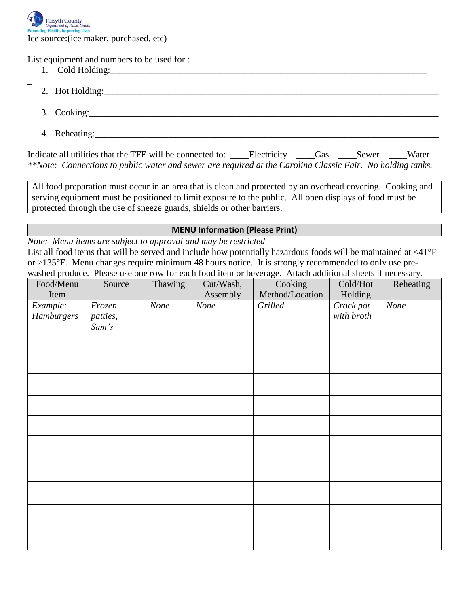

\_

Ice source:(ice maker, purchased, etc)

List equipment and numbers to be used for :

- 1. Cold Holding:
- 2. Hot Holding:
- 3. Cooking:\_\_\_\_\_\_\_\_\_\_\_\_\_\_\_\_\_\_\_\_\_\_\_\_\_\_\_\_\_\_\_\_\_\_\_\_\_\_\_\_\_\_\_\_\_\_\_\_\_\_\_\_\_\_\_\_\_\_\_\_\_\_\_\_\_\_\_\_\_\_\_\_\_\_\_\_
- 4. Reheating:

Indicate all utilities that the TFE will be connected to: \_\_\_\_\_Electricity \_\_\_\_\_Gas \_\_\_\_Sewer \_\_\_\_Water *\*\*Note: Connections to public water and sewer are required at the Carolina Classic Fair. No holding tanks.*

All food preparation must occur in an area that is clean and protected by an overhead covering. Cooking and serving equipment must be positioned to limit exposure to the public. All open displays of food must be protected through the use of sneeze guards, shields or other barriers.

## **MENU Information (Please Print)**

*Note: Menu items are subject to approval and may be restricted*

List all food items that will be served and include how potentially hazardous foods will be maintained at <41°F or >135°F. Menu changes require minimum 48 hours notice. It is strongly recommended to only use prewashed produce. Please use one row for each food item or beverage. Attach additional sheets if necessary.

| Food/Menu  | Source   | Thawing | Cut/Wash, | Cooking         | Cold/Hot   | Reheating |
|------------|----------|---------|-----------|-----------------|------------|-----------|
| Item       |          |         | Assembly  | Method/Location | Holding    |           |
| Example:   | Frozen   | None    | None      | Grilled         | Crock pot  | None      |
| Hamburgers | patties, |         |           |                 | with broth |           |
|            | Sam's    |         |           |                 |            |           |
|            |          |         |           |                 |            |           |
|            |          |         |           |                 |            |           |
|            |          |         |           |                 |            |           |
|            |          |         |           |                 |            |           |
|            |          |         |           |                 |            |           |
|            |          |         |           |                 |            |           |
|            |          |         |           |                 |            |           |
|            |          |         |           |                 |            |           |
|            |          |         |           |                 |            |           |
|            |          |         |           |                 |            |           |
|            |          |         |           |                 |            |           |
|            |          |         |           |                 |            |           |
|            |          |         |           |                 |            |           |
|            |          |         |           |                 |            |           |
|            |          |         |           |                 |            |           |
|            |          |         |           |                 |            |           |
|            |          |         |           |                 |            |           |
|            |          |         |           |                 |            |           |
|            |          |         |           |                 |            |           |
|            |          |         |           |                 |            |           |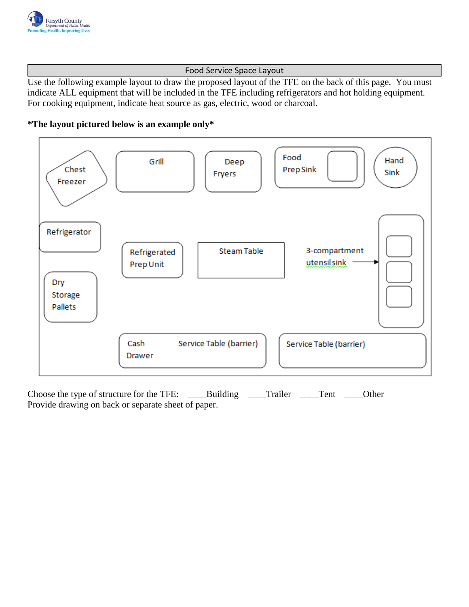

## Food Service Space Layout

Use the following example layout to draw the proposed layout of the TFE on the back of this page. You must indicate ALL equipment that will be included in the TFE including refrigerators and hot holding equipment. For cooking equipment, indicate heat source as gas, electric, wood or charcoal.





Choose the type of structure for the TFE: \_\_\_\_Building \_\_\_\_Trailer \_\_\_\_Tent \_\_\_Other Provide drawing on back or separate sheet of paper.